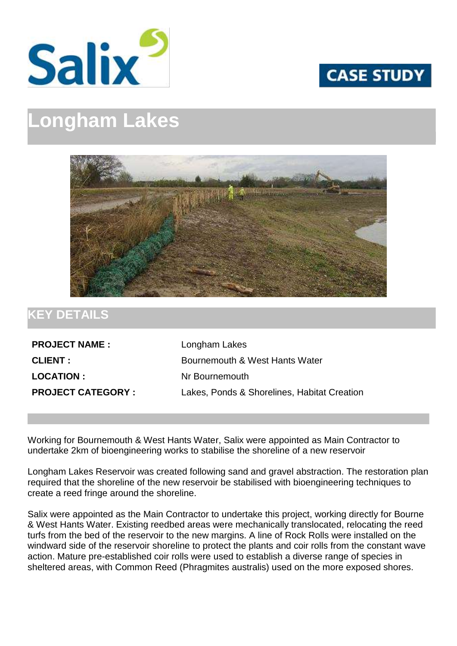



## **Longham Lakes**



## **KEY DETAILS**

**PROJECT NAME :** Longham Lakes **LOCATION :** Nr Bournemouth

**CLIENT :** Bournemouth & West Hants Water **PROJECT CATEGORY :** Lakes, Ponds & Shorelines, Habitat Creation

Working for Bournemouth & West Hants Water, Salix were appointed as Main Contractor to undertake 2km of bioengineering works to stabilise the shoreline of a new reservoir

Longham Lakes Reservoir was created following sand and gravel abstraction. The restoration plan required that the shoreline of the new reservoir be stabilised with bioengineering techniques to create a reed fringe around the shoreline.

Salix were appointed as the Main Contractor to undertake this project, working directly for Bourne & West Hants Water. Existing reedbed areas were mechanically translocated, relocating the reed turfs from the bed of the reservoir to the new margins. A line of Rock Rolls were installed on the windward side of the reservoir shoreline to protect the plants and coir rolls from the constant wave action. Mature pre-established coir rolls were used to establish a diverse range of species in sheltered areas, with Common Reed (Phragmites australis) used on the more exposed shores.